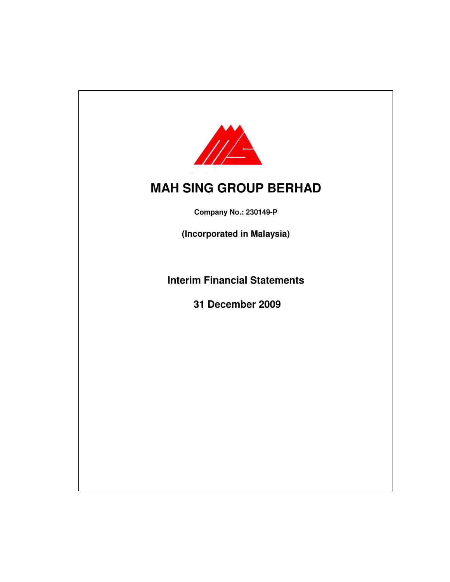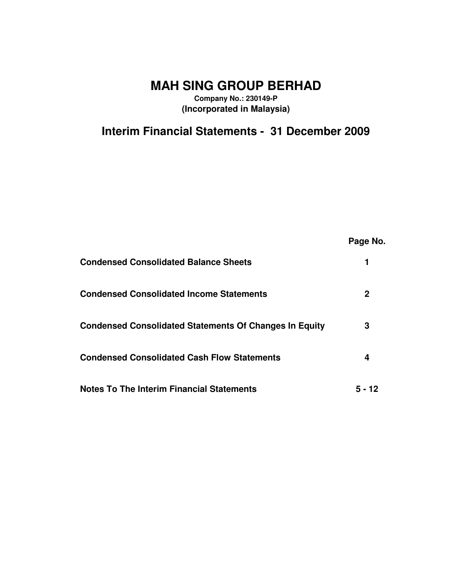# **MAH SING GROUP BERHAD**

**Company No.: 230149-P (Incorporated in Malaysia)**

**Interim Financial Statements - 31 December 2009**

|                                                               | Page No. |
|---------------------------------------------------------------|----------|
| <b>Condensed Consolidated Balance Sheets</b>                  |          |
| <b>Condensed Consolidated Income Statements</b>               | 2        |
| <b>Condensed Consolidated Statements Of Changes In Equity</b> | 3        |
| <b>Condensed Consolidated Cash Flow Statements</b>            | 4        |
| <b>Notes To The Interim Financial Statements</b>              | 5 - 12   |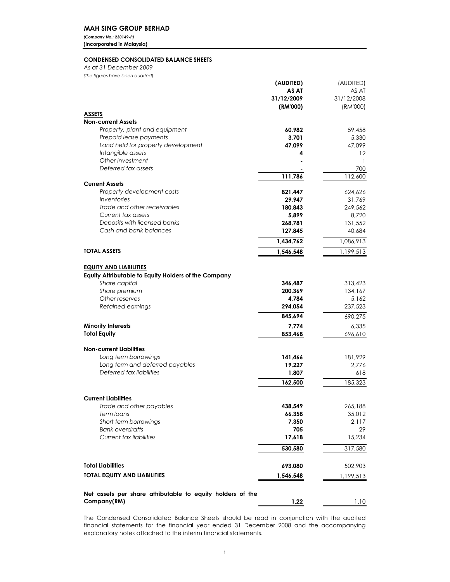## MAH SING GROUP BERHAD

(Company No.: 230149-P) (Incorporated in Malaysia)

## CONDENSED CONSOLIDATED BALANCE SHEETS

(The figures have been audited) As at 31 December 2009

|                                                            | (AUDITED)    | (AUDITED)                         |
|------------------------------------------------------------|--------------|-----------------------------------|
|                                                            | AS AT        | AS AT                             |
|                                                            | 31/12/2009   | 31/12/2008                        |
|                                                            | (RM'000)     | (RM'000)                          |
| <b>ASSETS</b>                                              |              |                                   |
| <b>Non-current Assets</b>                                  |              |                                   |
| Property, plant and equipment                              | 60,982       | 59,458                            |
| Prepaid lease payments                                     | 3,701        | 5,330                             |
| Land held for property development                         | 47,099       | 47,099                            |
| Intangible assets<br>Other Investment                      | 4            | $12 \ \mathrm{ }$<br>$\mathbf{1}$ |
| Deferred tax assets                                        |              | 700                               |
|                                                            | 111,786      | 112,600                           |
| <b>Current Assets</b>                                      |              |                                   |
| Property development costs                                 | 821,447      | 624,626                           |
| Inventories                                                | 29,947       | 31,769                            |
| Trade and other receivables                                | 180,843      | 249,562                           |
| Current tax assets                                         | 5,899        | 8,720                             |
| Deposits with licensed banks                               | 268,781      | 131,552                           |
| Cash and bank balances                                     | 127,845      | 40,684                            |
|                                                            | 1,434,762    | 1,086,913                         |
| TOTAL ASSETS                                               | 1,546,548    | 1,199,513                         |
|                                                            |              |                                   |
| <b>EQUITY AND LIABILITIES</b>                              |              |                                   |
| Equity Attributable to Equity Holders of the Company       |              |                                   |
| Share capital                                              | 346,487      | 313,423                           |
| Share premium                                              | 200,369      | 134,167                           |
| Other reserves                                             | 4,784        | 5,162                             |
| Retained earnings                                          | 294,054      | 237,523                           |
|                                                            | 845,694      | 690,275                           |
| <b>Minority Interests</b>                                  | 7,774        | 6,335                             |
| <b>Total Equity</b>                                        | 853,468      | 696,610                           |
|                                                            |              |                                   |
| <b>Non-current Liabilities</b>                             |              |                                   |
| Long term borrowings                                       | 141,466      | 181,929                           |
| Long term and deferred payables                            | 19,227       | 2,776                             |
| Deferred tax liabilities                                   | 1,807        | 618                               |
|                                                            | 162,500      | 185,323                           |
|                                                            |              |                                   |
| <b>Current Liabilities</b>                                 |              |                                   |
| Trade and other payables                                   | 438,549      | 265,188                           |
| Term loans                                                 | 66,358       | 35,012                            |
| Short term borrowings<br><b>Bank overdrafts</b>            | 7,350<br>705 | 2,117<br>29                       |
| Current tax liabilities                                    | 17,618       | 15,234                            |
|                                                            |              |                                   |
|                                                            | 530,580      | 317,580                           |
|                                                            |              |                                   |
| <b>Total Liabilities</b>                                   | 693,080      | 502,903                           |
| <b>TOTAL EQUITY AND LIABILITIES</b>                        | 1,546,548    | 1,199,513                         |
|                                                            |              |                                   |
| Net assets per share attributable to equity holders of the |              |                                   |
| Company(RM)                                                | 1.22         | 1.10                              |

The Condensed Consolidated Balance Sheets should be read in conjunction with the audited financial statements for the financial year ended 31 December 2008 and the accompanying explanatory notes attached to the interim financial statements.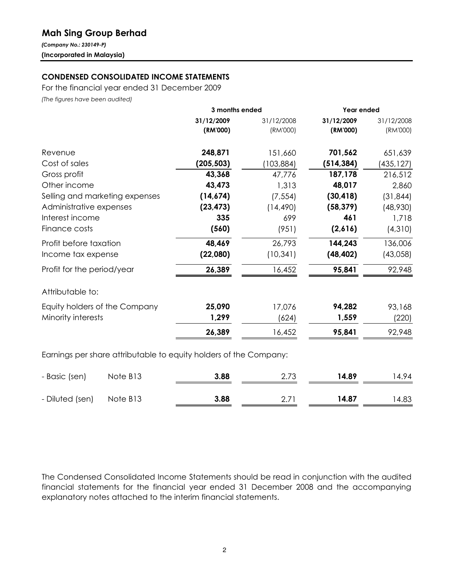## Mah Sing Group Berhad

(Company No.: 230149-P) (Incorporated in Malaysia)

## CONDENSED CONSOLIDATED INCOME STATEMENTS

For the financial year ended 31 December 2009

(The figures have been audited)

|                                                                   | 3 months ended |            | Year ended |            |
|-------------------------------------------------------------------|----------------|------------|------------|------------|
|                                                                   | 31/12/2009     | 31/12/2008 | 31/12/2009 | 31/12/2008 |
|                                                                   | (RM'000)       | (RM'000)   | (RM'000)   | (RM'000)   |
| Revenue                                                           | 248,871        | 151,660    | 701,562    | 651,639    |
| Cost of sales                                                     | (205, 503)     | (103, 884) | (514, 384) | (435,127)  |
| Gross profit                                                      | 43,368         | 47,776     | 187,178    | 216,512    |
| Other income                                                      | 43,473         | 1,313      | 48,017     | 2,860      |
| Selling and marketing expenses                                    | (14, 674)      | (7, 554)   | (30, 418)  | (31, 844)  |
| Administrative expenses                                           | (23, 473)      | (14, 490)  | (58, 379)  | (48,930)   |
| Interest income                                                   | 335            | 699        | 461        | 1,718      |
| Finance costs                                                     | (560)          | (951)      | (2,616)    | (4,310)    |
| Profit before taxation                                            | 48,469         | 26,793     | 144,243    | 136,006    |
| Income tax expense                                                | (22,080)       | (10, 341)  | (48, 402)  | (43,058)   |
| Profit for the period/year                                        | 26,389         | 16,452     | 95,841     | 92,948     |
| Attributable to:                                                  |                |            |            |            |
| Equity holders of the Company                                     | 25,090         | 17,076     | 94,282     | 93,168     |
| Minority interests                                                | 1,299          | (624)      | 1,559      | (220)      |
|                                                                   | 26,389         | 16,452     | 95,841     | 92,948     |
| Earnings per share attributable to equity holders of the Company: |                |            |            |            |

- Basic (sen) Note B13 3.88 2.73 14.89 14.94 - Diluted (sen) Note B13 **3.88** 2.71 **14.87** 14.83

The Condensed Consolidated Income Statements should be read in conjunction with the audited financial statements for the financial year ended 31 December 2008 and the accompanying explanatory notes attached to the interim financial statements.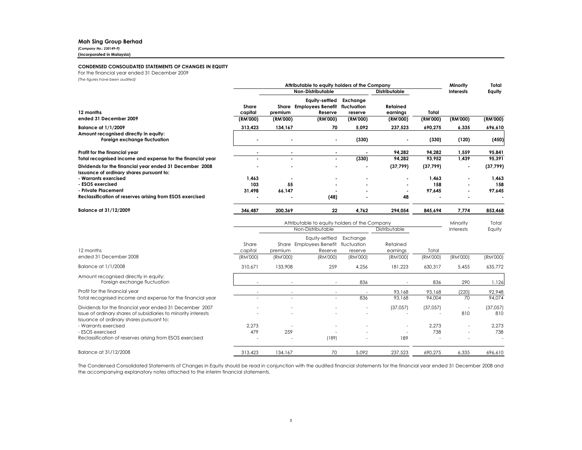#### Mah Sing Group Berhad

(Company No.: 230149-P)(Incorporated in Malaysia)

#### CONDENSED CONSOLIDATED STATEMENTS OF CHANGES IN EQUITY

For the financial year ended 31 December 2009

(The figures have been audited)

|                                                                                                            | Attributable to equity holders of the Company    |          |                                                                  |                          |                      | Minority  | Total                    |           |
|------------------------------------------------------------------------------------------------------------|--------------------------------------------------|----------|------------------------------------------------------------------|--------------------------|----------------------|-----------|--------------------------|-----------|
|                                                                                                            | <b>Non-Distributable</b><br><b>Distributable</b> |          |                                                                  |                          |                      |           | <b>Interests</b>         | Equity    |
| 12 months                                                                                                  | <b>Share</b><br>capital                          | premium  | Equity-settled<br>Share Employees Benefit fluctuation<br>Reserve | Exchange<br>reserve      | Retained<br>earnings | Total     |                          |           |
| ended 31 December 2009                                                                                     | (RM'000)                                         | (RM'000) | (RM'000)                                                         | (RM'000)                 | (RM'000)             | (RM'000)  | (RM'000)                 | (RM'000)  |
| <b>Balance at 1/1/2009</b>                                                                                 | 313.423                                          | 134,167  | 70                                                               | 5.092                    | 237,523              | 690,275   | 6,335                    | 696,610   |
| Amount recognised directly in equity:<br>Foreign exchange fluctuation                                      |                                                  |          |                                                                  | (330)                    |                      | (330)     | (120)                    | (450)     |
| Profit for the financial year                                                                              |                                                  |          |                                                                  |                          | 94,282               | 94.282    | 1,559                    | 95,841    |
| Total recognised income and expense for the financial year                                                 |                                                  |          |                                                                  | (330)                    | 94,282               | 93,952    | 1,439                    | 95,391    |
| Dividends for the financial year ended 31 December 2008<br>Issuance of ordinary shares pursuant to:        |                                                  |          |                                                                  |                          | (37, 799)            | (37, 799) |                          | (37, 799) |
| - Warrants exercised                                                                                       | 1.463                                            |          |                                                                  |                          |                      | 1.463     |                          | 1,463     |
| - ESOS exercised                                                                                           | 103                                              | 55       |                                                                  |                          |                      | 158       |                          | 158       |
| - Private Placement<br>Reclassification of reserves arising from ESOS exercised                            | 31,498                                           | 66,147   |                                                                  |                          | 48                   | 97,645    |                          | 97,645    |
|                                                                                                            |                                                  |          | (48)                                                             |                          |                      |           |                          |           |
| Balance at 31/12/2009                                                                                      | 346,487                                          | 200,369  | 22                                                               | 4,762                    | 294,054              | 845,694   | 7.774                    | 853,468   |
|                                                                                                            |                                                  |          | Attributable to equity holders of the Company                    |                          |                      |           | Minority                 | Total     |
|                                                                                                            |                                                  |          | Non-Distributable                                                |                          | Distributable        |           | <b>Interests</b>         | Equity    |
|                                                                                                            | Share                                            |          | Equity-settled<br>Share Employees Benefit fluctuation            | Exchange                 | Retained             |           |                          |           |
| 12 months                                                                                                  | capital                                          | premium  | Reserve                                                          | reserve                  | earnings             | Total     |                          |           |
| ended 31 December 2008                                                                                     | (RM'000)                                         | (RM'000) | (RM'000)                                                         | (RM'000)                 | (RM'000)             | (RM'000)  | (RM'000)                 | (RM'000)  |
| Balance at 1/1/2008                                                                                        | 310,671                                          | 133,908  | 259                                                              | 4,256                    | 181,223              | 630,317   | 5,455                    | 635,772   |
| Amount recognised directly in equity:<br>Foreign exchange fluctuation                                      |                                                  |          |                                                                  | 836                      |                      | 836       | 290                      | 1,126     |
| Profit for the financial year                                                                              |                                                  | $\sim$   | $\sim$                                                           | $\overline{\phantom{a}}$ | 93.168               | 93,168    | (220)                    | 92,948    |
| Total recognised income and expense for the financial year                                                 |                                                  |          |                                                                  | 836                      | 93.168               | 94,004    | 70                       | 94.074    |
| Dividends for the financial year ended 31 December 2007                                                    |                                                  |          |                                                                  |                          | (37,057)             | (37,057)  | $\overline{\phantom{a}}$ | (37,057)  |
| Issue of ordinary shares of subsidiaries to minority interests<br>Issuance of ordinary shares pursuant to: |                                                  |          |                                                                  |                          |                      |           | 810                      | 810       |
| - Warrants exercised                                                                                       | 2,273                                            |          |                                                                  |                          |                      | 2,273     |                          | 2,273     |
| - ESOS exercised                                                                                           | 479                                              | 259      | (189)                                                            |                          |                      | 738       |                          | 738       |
| Reclassification of reserves arising from ESOS exercised                                                   |                                                  |          |                                                                  |                          | 189                  |           |                          |           |

The Condensed Consolidated Statements of Changes in Equity should be read in conjunction with the audited financial statements for the financial year ended <sup>31</sup> December <sup>2008</sup> and the accompanying explanatory notes attached to the interim financial statements.

Balance at 31/12/2008 **313,423** 134,167 70 5,092 237,523 690,275 6,335 696,610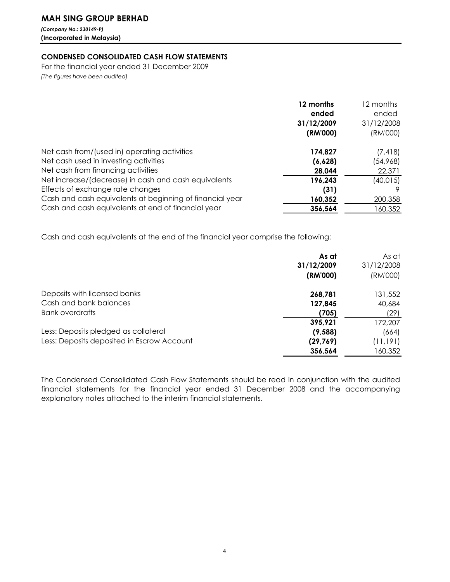## MAH SING GROUP BERHAD

(Company No.: 230149-P) (Incorporated in Malaysia)

## CONDENSED CONSOLIDATED CASH FLOW STATEMENTS

For the financial year ended 31 December 2009 (The figures have been audited)

|                                                          | 12 months<br>ended<br>31/12/2009<br>(RM'000) | 12 months<br>ended<br>31/12/2008<br>(RM'000) |
|----------------------------------------------------------|----------------------------------------------|----------------------------------------------|
| Net cash from/(used in) operating activities             | 174,827                                      | (7, 418)                                     |
| Net cash used in investing activities                    | (6,628)                                      | (54,968)                                     |
| Net cash from financing activities                       | 28,044                                       | 22,371                                       |
| Net increase/(decrease) in cash and cash equivalents     | 196,243                                      | (40, 015)                                    |
| Effects of exchange rate changes                         | (31)                                         |                                              |
| Cash and cash equivalents at beginning of financial year | 160,352                                      | 200,358                                      |
| Cash and cash equivalents at end of financial year       | 356,564                                      | 160,352                                      |

Cash and cash equivalents at the end of the financial year comprise the following:

|                                            | As at<br>31/12/2009 | As at<br>31/12/2008 |
|--------------------------------------------|---------------------|---------------------|
|                                            | (RM'000)            | (RM'000)            |
| Deposits with licensed banks               | 268,781             | 131,552             |
| Cash and bank balances                     | 127,845             | 40,684              |
| Bank overdrafts                            | (705)               | (29)                |
|                                            | 395,921             | 172,207             |
| Less: Deposits pledged as collateral       | (9,588)             | (664)               |
| Less: Deposits deposited in Escrow Account | (29, 769)           | (11,191)            |
|                                            | 356,564             | 160,352             |

The Condensed Consolidated Cash Flow Statements should be read in conjunction with the audited financial statements for the financial year ended 31 December 2008 and the accompanying explanatory notes attached to the interim financial statements.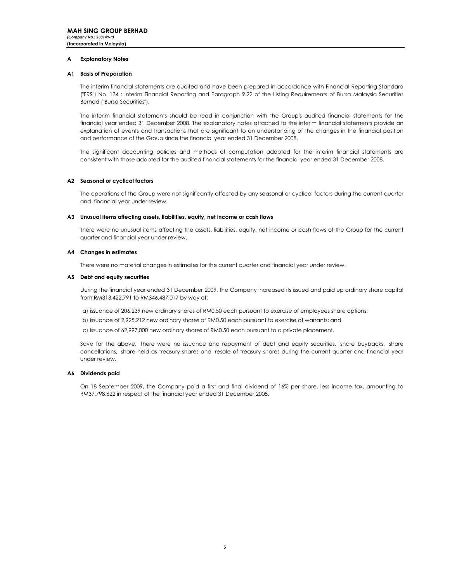#### A Explanatory Notes

### A1 Basis of Preparation

The interim financial statements are audited and have been prepared in accordance with Financial Reporting Standard ("FRS") No. 134 : Interim Financial Reporting and Paragraph 9.22 of the Listing Requirements of Bursa Malaysia Securities Berhad ("Bursa Securities").

The interim financial statements should be read in conjunction with the Group's audited financial statements for the financial year ended 31 December 2008. The explanatory notes attached to the interim financial statements provide an explanation of events and transactions that are significant to an understanding of the changes in the financial position and performance of the Group since the financial year ended 31 December 2008.

The significant accounting policies and methods of computation adopted for the interim financial statements are consistent with those adopted for the audited financial statements for the financial year ended 31 December 2008.

## A2 Seasonal or cyclical factors

The operations of the Group were not significantly affected by any seasonal or cyclical factors during the current quarter and financial year under review.

#### A3 Unusual items affecting assets, liabilities, equity, net income or cash flows

There were no unusual items affecting the assets, liabilities, equity, net income or cash flows of the Group for the current quarter and financial year under review.

## A4 Changes in estimates

There were no material changes in estimates for the current quarter and financial year under review.

#### A5 Debt and equity securities

During the financial year ended 31 December 2009, the Company increased its issued and paid up ordinary share capital from RM313,422,791 to RM346,487,017 by way of:

- a) issuance of 206,239 new ordinary shares of RM0.50 each pursuant to exercise of employees share options;
- b) issuance of 2,925,212 new ordinary shares of RM0.50 each pursuant to exercise of warrants; and
- c) issuance of 62,997,000 new ordinary shares of RM0.50 each pursuant to a private placement.

Save for the above, there were no issuance and repayment of debt and equity securities, share buybacks, share cancellations, share held as treasury shares and resale of treasury shares during the current quarter and financial year under review.

#### A6 Dividends paid

On 18 September 2009, the Company paid a first and final dividend of 16% per share, less income tax, amounting to RM37,798,622 in respect of the financial year ended 31 December 2008.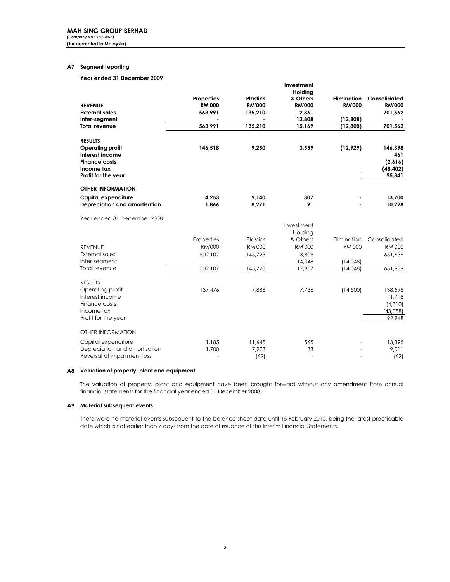## A7 Segment reporting

Year ended 31 December 2009

|                               |                   |                 | Investment            |                    |               |
|-------------------------------|-------------------|-----------------|-----------------------|--------------------|---------------|
|                               | <b>Properties</b> | <b>Plastics</b> | Holdina<br>& Others   | <b>Elimination</b> | Consolidated  |
| <b>REVENUE</b>                | <b>RM'000</b>     | <b>RM'000</b>   | <b>RM'000</b>         | <b>RM'000</b>      | <b>RM'000</b> |
| <b>External sales</b>         | 563,991           | 135,210         | 2,361                 |                    | 701,562       |
| Inter-segment                 |                   |                 | 12,808                | (12,808)           |               |
| <b>Total revenue</b>          | 563,991           | 135,210         | 15,169                | (12,808)           | 701,562       |
| <b>RESULTS</b>                |                   |                 |                       |                    |               |
| <b>Operating profit</b>       | 146,518           | 9,250           | 3,559                 | (12, 929)          | 146,398       |
| Interest income               |                   |                 |                       |                    | 461           |
| <b>Finance costs</b>          |                   |                 |                       |                    | (2,616)       |
| Income tax                    |                   |                 |                       |                    | (48, 402)     |
| Profit for the year           |                   |                 |                       |                    | 95,841        |
| <b>OTHER INFORMATION</b>      |                   |                 |                       |                    |               |
| <b>Capital expenditure</b>    | 4,253             | 9,140           | 307                   |                    | 13,700        |
| Depreciation and amortisation | 1,866             | 8,271           | 91                    |                    | 10,228        |
| Year ended 31 December 2008   |                   |                 |                       |                    |               |
|                               |                   |                 | Investment<br>Holding |                    |               |
|                               | Properties        | Plastics        | & Others              | Elimination        | Consolidated  |
| <b>REVENUE</b>                | <b>RM'000</b>     | <b>RM'000</b>   | <b>RM'000</b>         | <b>RM'000</b>      | <b>RM'000</b> |
| <b>External sales</b>         | 502,107           | 145,723         | 3.809                 |                    | 651,639       |
| Inter-segment                 |                   |                 | 14,048                | (14,048)           |               |
| Total revenue                 | 502,107           | 145,723         | 17,857                | (14,048)           | 651,639       |
| <b>RESULTS</b>                |                   |                 |                       |                    |               |
| Operating profit              | 137,476           | 7,886           | 7,736                 | (14,500)           | 138,598       |
| Interest income               |                   |                 |                       |                    | 1,718         |
| Finance costs                 |                   |                 |                       |                    | (4,310)       |
| Income tax                    |                   |                 |                       |                    | (43,058)      |
| Profit for the year           |                   |                 |                       |                    | 92,948        |
| <b>OTHER INFORMATION</b>      |                   |                 |                       |                    |               |
| Capital expenditure           | 1,185             | 11,645          | 565                   |                    | 13,395        |
| Depreciation and amortisation | 1,700             | 7,278           | 33                    |                    | 9,011         |
| Reversal of impairment loss   |                   | (62)            | $\sim$                |                    | (62)          |

### A8 Valuation of property, plant and equipment

The valuation of property, plant and equipment have been brought forward without any amendment from annual financial statements for the financial year ended 31 December 2008.

#### A9 Material subsequent events

There were no material events subsequent to the balance sheet date until 15 February 2010, being the latest practicable date which is not earlier than 7 days from the date of issuance of this Interim Financial Statements.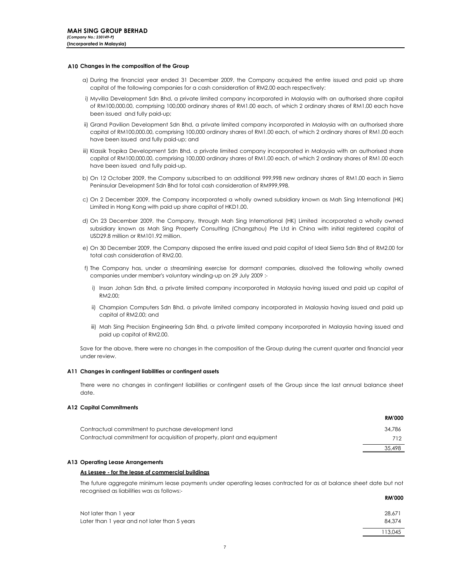### A10 Changes in the composition of the Group

- a) During the financial year ended 31 December 2009, the Company acquired the entire issued and paid up share capital of the following companies for a cash consideration of RM2.00 each respectively:
- i) Myvilla Development Sdn Bhd, a private limited company incorporated in Malaysia with an authorised share capital of RM100,000.00, comprising 100,000 ordinary shares of RM1.00 each, of which 2 ordinary shares of RM1.00 each have been issued and fully paid-up;
- ii) Grand Pavilion Development Sdn Bhd, a private limited company incorporated in Malaysia with an authorised share capital of RM100,000.00, comprising 100,000 ordinary shares of RM1.00 each, of which 2 ordinary shares of RM1.00 each have been issued and fully paid-up; and
- iii) Klassik Tropika Development Sdn Bhd, a private limited company incorporated in Malaysia with an authorised share capital of RM100,000.00, comprising 100,000 ordinary shares of RM1.00 each, of which 2 ordinary shares of RM1.00 each have been issued and fully paid-up.
- b) On 12 October 2009, the Company subscribed to an additional 999,998 new ordinary shares of RM1.00 each in Sierra Peninsular Development Sdn Bhd for total cash consideration of RM999,998.
- c) On 2 December 2009, the Company incorporated a wholly owned subsidiary known as Mah Sing International (HK) Limited in Hong Kong with paid up share capital of HKD1.00.
- d) On 23 December 2009, the Company, through Mah Sing International (HK) Limited incorporated a wholly owned subsidiary known as Mah Sing Property Consulting (Changzhou) Pte Ltd in China with initial registered capital of USD29.8 million or RM101.92 million.
- e) On 30 December 2009, the Company disposed the entire issued and paid capital of Ideal Sierra Sdn Bhd of RM2.00 for total cash consideration of RM2.00.
- f) The Company has, under a streamlining exercise for dormant companies, dissolved the following wholly owned companies under member's voluntary winding-up on 29 July 2009 :
	- i) Insan Johan Sdn Bhd, a private limited company incorporated in Malaysia having issued and paid up capital of RM2.00;
	- ii) Champion Computers Sdn Bhd, a private limited company incorporated in Malaysia having issued and paid up capital of RM2.00; and
	- iii) Mah Sing Precision Engineering Sdn Bhd, a private limited company incorporated in Malaysia having issued and paid up capital of RM2.00.

Save for the above, there were no changes in the composition of the Group during the current quarter and financial year under review.

#### A11 Changes in contingent liabilities or contingent assets

There were no changes in contingent liabilities or contingent assets of the Group since the last annual balance sheet date.

#### A12 Capital Commitments

|                                                                         | <b>RM'000</b> |
|-------------------------------------------------------------------------|---------------|
| Contractual commitment to purchase development land                     | 34.786        |
| Contractual commitment for acquisition of property, plant and equipment | 712           |
|                                                                         | 35.498        |

#### A13 Operating Lease Arrangements

### As Lessee - for the lease of commercial buildings

RHADOO The future aggregate minimum lease payments under operating leases contracted for as at balance sheet date but not recognised as liabilities was as follows:-

|                                              | KM VVV  |
|----------------------------------------------|---------|
| Not later than 1 year                        | 28.671  |
| Later than 1 year and not later than 5 years | 84.374  |
|                                              | 113.045 |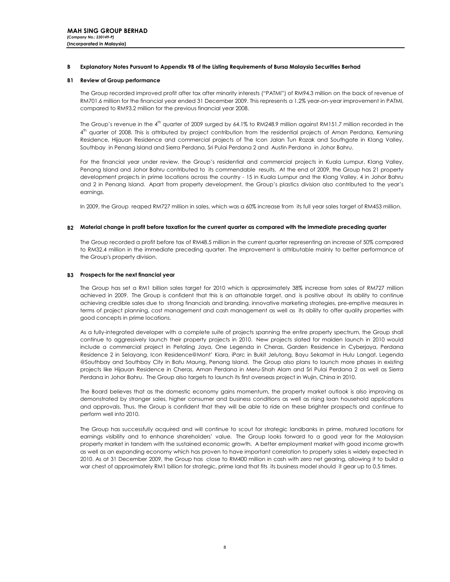#### B Explanatory Notes Pursuant to Appendix 9B of the Listing Requirements of Bursa Malaysia Securities Berhad

## B1 Review of Group performance

The Group recorded improved profit after tax after minority interests ("PATMI") of RM94.3 million on the back of revenue of RM701.6 million for the financial year ended 31 December 2009. This represents a 1.2% year-on-year improvement in PATMI, compared to RM93.2 million for the previous financial year 2008.

The Group's revenue in the  $4<sup>th</sup>$  quarter of 2009 surged by 64.1% to RM248.9 million against RM151.7 million recorded in the 4<sup>th</sup> quarter of 2008. This is attributed by project contribution from the residential projects of Aman Perdana, Kemuning Residence, Hijauan Residence and commercial projects of The Icon Jalan Tun Razak and Southgate in Klang Valley, Southbay in Penang Island and Sierra Perdana, Sri Pulai Perdana 2 and Austin Perdana in Johor Bahru.

For the financial year under review, the Group's residential and commercial projects in Kuala Lumpur, Klang Valley, Penang Island and Johor Bahru contributed to its commendable results. At the end of 2009, the Group has 21 property development projects in prime locations across the country - 15 in Kuala Lumpur and the Klang Valley, 4 in Johor Bahru and 2 in Penang Island. Apart from property development, the Group's plastics division also contributed to the year's earnings.

In 2009, the Group reaped RM727 million in sales, which was a 60% increase from its full year sales target of RM453 million.

## B2 Material change in profit before taxation for the current quarter as compared with the immediate preceding quarter

The Group recorded a profit before tax of RM48.5 million in the current quarter representing an increase of 50% compared to RM32.4 million in the immediate preceding quarter. The improvement is attributable mainly to better performance of the Group's property division.

## B3 Prospects for the next financial year

The Group has set a RM1 billion sales target for 2010 which is approximately 38% increase from sales of RM727 million achieved in 2009. The Group is confident that this is an attainable target, and is positive about its ability to continue achieving credible sales due to strong financials and branding, innovative marketing strategies, pre-emptive measures in terms of project planning, cost management and cash management as well as its ability to offer quality properties with good concepts in prime locations.

As a fully-integrated developer with a complete suite of projects spanning the entire property spectrum, the Group shall continue to aggressively launch their property projects in 2010. New projects slated for maiden launch in 2010 would include a commercial project in Petaling Jaya, One Legenda in Cheras, Garden Residence in Cyberjaya, Perdana Residence 2 in Selayang, Icon Residence@Mont' Kiara, iParc in Bukit Jelutong, Bayu Sekamat in Hulu Langat, Legenda @Southbay and Southbay City in Batu Maung, Penang Island. The Group also plans to launch more phases in existing projects like Hijauan Residence in Cheras, Aman Perdana in Meru-Shah Alam and Sri Pulai Perdana 2 as well as Sierra Perdana in Johor Bahru. The Group also targets to launch its first overseas project in Wujin, China in 2010.

The Board believes that as the domestic economy gains momentum, the property market outlook is also improving as demonstrated by stronger sales, higher consumer and business conditions as well as rising loan household applications and approvals. Thus, the Group is confident that they will be able to ride on these brighter prospects and continue to perform well into 2010.

The Group has successfully acquired and will continue to scout for strategic landbanks in prime, matured locations for earnings visibility and to enhance shareholders' value. The Group looks forward to a good year for the Malaysian property market in tandem with the sustained economic growth. A better employment market with good income growth as well as an expanding economy which has proven to have important correlation to property sales is widely expected in 2010. As at 31 December 2009, the Group has close to RM400 million in cash with zero net gearing, allowing it to build a war chest of approximately RM1 billion for strategic, prime land that fits its business model should it gear up to 0.5 times.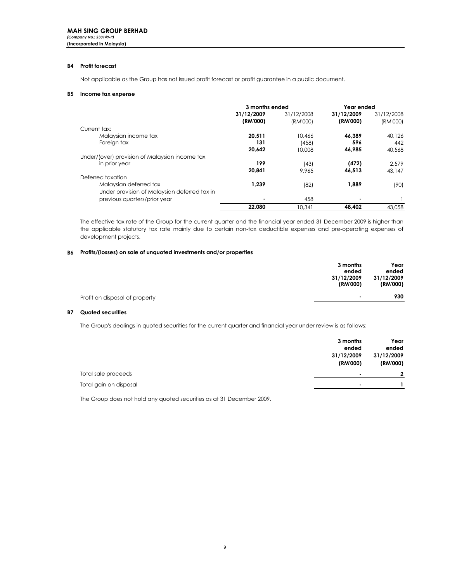## B4 Profit forecast

Not applicable as the Group has not issued profit forecast or profit guarantee in a public document.

## B5 Income tax expense

|                                                | 3 months ended         |                        | Year ended             |                        |
|------------------------------------------------|------------------------|------------------------|------------------------|------------------------|
|                                                | 31/12/2009<br>(RM'000) | 31/12/2008<br>(RM'000) | 31/12/2009<br>(RM'000) | 31/12/2008<br>(RM'000) |
| Current tax:                                   |                        |                        |                        |                        |
| Malaysian income tax                           | 20.511                 | 10.466                 | 46.389                 | 40.126                 |
| Foreign tax                                    | 131                    | (458)                  | 596                    | 442                    |
|                                                | 20,642                 | 10,008                 | 46,985                 | 40,568                 |
| Under/(over) provision of Malaysian income tax |                        |                        |                        |                        |
| in prior year                                  | 199                    | (43)                   | (472)                  | 2,579                  |
|                                                | 20,841                 | 9.965                  | 46,513                 | 43.147                 |
| Deferred taxation                              |                        |                        |                        |                        |
| Malaysian deferred tax                         | 1.239                  | (82)                   | 1,889                  | (90)                   |
| Under provision of Malaysian deferred tax in   |                        |                        |                        |                        |
| previous quarters/prior year                   |                        | 458                    |                        |                        |
|                                                | 22.080                 | 10.341                 | 48.402                 | 43.058                 |

The effective tax rate of the Group for the current quarter and the financial year ended 31 December 2009 is higher than the applicable statutory tax rate mainly due to certain non-tax deductible expenses and pre-operating expenses of development projects.

#### B6 Profits/(losses) on sale of unquoted investments and/or properties

|                                | 3 months<br>ended        | Year<br>ended          |
|--------------------------------|--------------------------|------------------------|
|                                | 31/12/2009<br>(RM'000)   | 31/12/2009<br>(RM'000) |
| Profit on disposal of property | $\overline{\phantom{a}}$ | 930                    |

## B7 Quoted securities

The Group's dealings in quoted securities for the current quarter and financial year under review is as follows:

|                        | 3 months   | Year         |
|------------------------|------------|--------------|
|                        | ended      | ended        |
|                        | 31/12/2009 | 31/12/2009   |
|                        | (RM'000)   | (RM'000)     |
| Total sale proceeds    | ٠          | $\mathbf{r}$ |
| Total gain on disposal |            |              |

The Group does not hold any quoted securities as at 31 December 2009.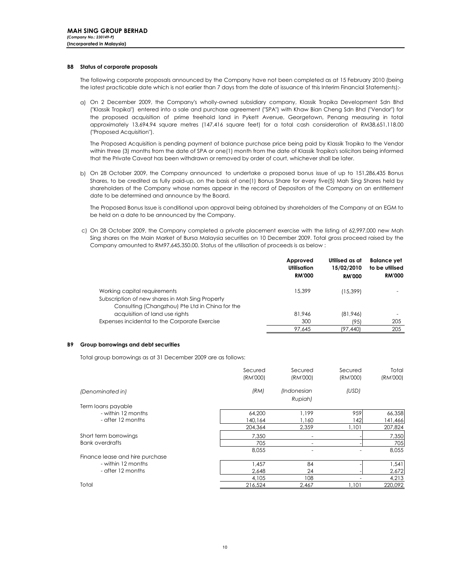#### B8 Status of corporate proposals

The following corporate proposals announced by the Company have not been completed as at 15 February 2010 (being the latest practicable date which is not earlier than 7 days from the date of issuance of this Interim Financial Statements):-

a) On 2 December 2009, the Company's wholly-owned subsidiary company, Klassik Tropika Development Sdn Bhd ("Klassik Tropika") entered into a sale and purchase agreement ("SPA") with Khaw Bian Cheng Sdn Bhd ("Vendor") for the proposed acquisition of prime freehold land in Pykett Avenue, Georgetown, Penang measuring in total approximately 13,694.94 square metres (147,416 square feet) for a total cash consideration of RM38,651,118.00 ("Proposed Acquisition").

The Proposed Acquisition is pending payment of balance purchase price being paid by Klassik Tropika to the Vendor within three (3) months from the date of SPA or one(1) month from the date of Klassik Tropika's solicitors being informed that the Private Caveat has been withdrawn or removed by order of court, whichever shall be later.

b) On 28 October 2009, the Company announced to undertake a proposed bonus issue of up to 151,286,435 Bonus Shares, to be credited as fully paid-up, on the basis of one(1) Bonus Share for every five(5) Mah Sing Shares held by shareholders of the Company whose names appear in the record of Depositors of the Company on an entitlement date to be determined and announce by the Board.

The Proposed Bonus Issue is conditional upon approval being obtained by shareholders of the Company at an EGM to be held on a date to be announced by the Company.

c) On 28 October 2009, the Company completed a private placement exercise with the listing of 62,997,000 new Mah Sing shares on the Main Market of Bursa Malaysia securities on 10 December 2009. Total gross proceed raised by the Company amounted to RM97,645,350.00. Status of the utilisation of proceeds is as below :

|                                                                                                                                    | Approved<br>Utilisation<br><b>RM'000</b> | Utilised as at<br>15/02/2010<br><b>RM'000</b> | <b>Balance</b> yet<br>to be utilised<br><b>RM'000</b> |
|------------------------------------------------------------------------------------------------------------------------------------|------------------------------------------|-----------------------------------------------|-------------------------------------------------------|
| Working capital requirements<br>Subscription of new shares in Mah Sing Property<br>Consulting (Changzhou) Pte Ltd in China for the | 15,399                                   | (15,399)                                      |                                                       |
| acquisition of land use rights                                                                                                     | 81.946                                   | (81,946)                                      |                                                       |
| Expenses incidental to the Corporate Exercise                                                                                      | 300                                      | (95)                                          | 205                                                   |
|                                                                                                                                    | 97.645                                   | (97.440)                                      | 205                                                   |

#### B9 Group borrowings and debt securities

Total group borrowings as at 31 December 2009 are as follows:

|                                 | Secured<br>(RM'000) | Secured<br>(RM'000) | Secured<br>(RM'000) | Total<br>(RM'000) |
|---------------------------------|---------------------|---------------------|---------------------|-------------------|
| (Denominated in)                | (RM)                | (Indonesian         | (USD)               |                   |
|                                 |                     | Rupiah)             |                     |                   |
| Term loans payable              |                     |                     |                     |                   |
| - within 12 months              | 64,200              | 1.199               | 959                 | 66,358            |
| - after 12 months               | 140.164             | 1.160               | 142                 | 141,466           |
|                                 | 204,364             | 2,359               | 1,101               | 207,824           |
| Short term borrowings           | 7,350               |                     |                     | 7,350             |
| <b>Bank overdrafts</b>          | 705                 |                     |                     | 705               |
|                                 | 8,055               |                     |                     | 8,055             |
| Finance lease and hire purchase |                     |                     |                     |                   |
| - within 12 months              | 1.457               | 84                  |                     | 1,541             |
| - after 12 months               | 2.648               | 24                  |                     | 2,672             |
|                                 | 4,105               | 108                 |                     | 4,213             |
| Total                           | 216,524             | 2.467               | 1.101               | 220,092           |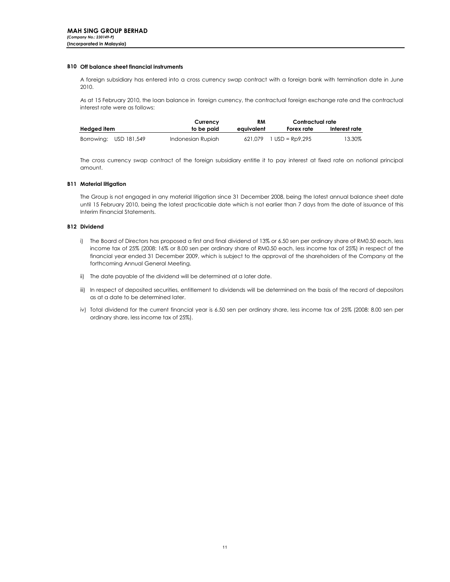### B10 Off balance sheet financial instruments

A foreign subsidiary has entered into a cross currency swap contract with a foreign bank with termination date in June 2010.

As at 15 February 2010, the loan balance in foreign currency, the contractual foreign exchange rate and the contractual interest rate were as follows:

|                          |                        | Currency          | <b>RM</b>  | Contractual rate  |               |
|--------------------------|------------------------|-------------------|------------|-------------------|---------------|
| Hedged i <del>l</del> em |                        | to be paid        | eauivalent | Forex rate        | Interest rate |
|                          | Borrowing: USD 181,549 | Indonesian Rupiah | 621.079    | $1$ USD = Rp9.295 | 13.30%        |

The cross currency swap contract of the foreign subsidiary entitle it to pay interest at fixed rate on notional principal amount.

## B11 Material litigation

The Group is not engaged in any material litigation since 31 December 2008, being the latest annual balance sheet date until 15 February 2010, being the latest practicable date which is not earlier than 7 days from the date of issuance of this Interim Financial Statements.

## B12 Dividend

- i) The Board of Directors has proposed a first and final dividend of 13% or 6.50 sen per ordinary share of RM0.50 each, less income tax of 25% (2008: 16% or 8.00 sen per ordinary share of RM0.50 each, less income tax of 25%) in respect of the financial year ended 31 December 2009, which is subject to the approval of the shareholders of the Company at the forthcoming Annual General Meeting.
- ii) The date payable of the dividend will be determined at a later date.
- iii) In respect of deposited securities, entitlement to dividends will be determined on the basis of the record of depositors as at a date to be determined later.
- iv) Total dividend for the current financial year is 6.50 sen per ordinary share, less income tax of 25% (2008: 8.00 sen per ordinary share, less income tax of 25%).